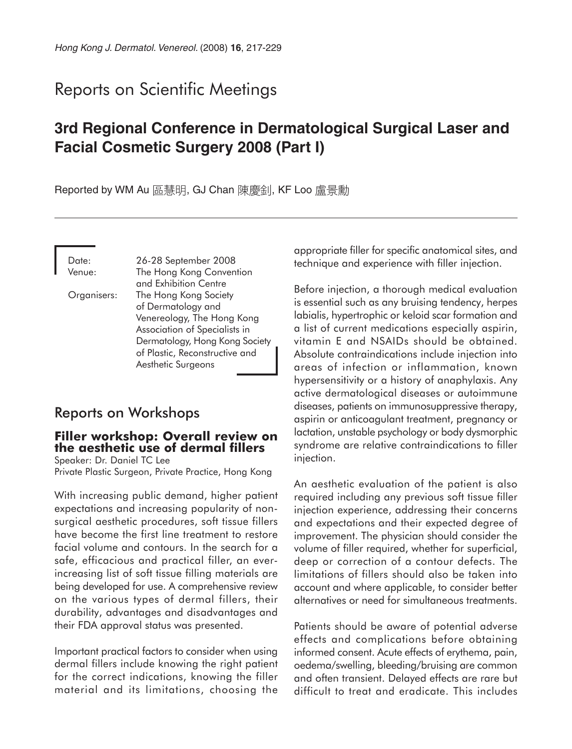# Reports on Scientific Meetings

# **3rd Regional Conference in Dermatological Surgical Laser and Facial Cosmetic Surgery 2008 (Part I)**

Reported by WM Au 區慧明, GJ Chan 陳慶釗, KF Loo 盧景勳

Date: 26-28 September 2008 Venue: The Hong Kong Convention and Exhibition Centre Organisers: The Hong Kong Society of Dermatology and Venereology, The Hong Kong Association of Specialists in Dermatology, Hong Kong Society of Plastic, Reconstructive and Aesthetic Surgeons

# Reports on Workshops

# **Filler workshop: Overall review on the aesthetic use of dermal fillers**

Speaker: Dr. Daniel TC Lee Private Plastic Surgeon, Private Practice, Hong Kong

With increasing public demand, higher patient expectations and increasing popularity of nonsurgical aesthetic procedures, soft tissue fillers have become the first line treatment to restore facial volume and contours. In the search for a safe, efficacious and practical filler, an everincreasing list of soft tissue filling materials are being developed for use. A comprehensive review on the various types of dermal fillers, their durability, advantages and disadvantages and their FDA approval status was presented.

Important practical factors to consider when using dermal fillers include knowing the right patient for the correct indications, knowing the filler material and its limitations, choosing the appropriate filler for specific anatomical sites, and technique and experience with filler injection.

Before injection, a thorough medical evaluation is essential such as any bruising tendency, herpes labialis, hypertrophic or keloid scar formation and a list of current medications especially aspirin, vitamin E and NSAIDs should be obtained. Absolute contraindications include injection into areas of infection or inflammation, known hypersensitivity or a history of anaphylaxis. Any active dermatological diseases or autoimmune diseases, patients on immunosuppressive therapy, aspirin or anticoagulant treatment, pregnancy or lactation, unstable psychology or body dysmorphic syndrome are relative contraindications to filler injection.

An aesthetic evaluation of the patient is also required including any previous soft tissue filler injection experience, addressing their concerns and expectations and their expected degree of improvement. The physician should consider the volume of filler required, whether for superficial, deep or correction of a contour defects. The limitations of fillers should also be taken into account and where applicable, to consider better alternatives or need for simultaneous treatments.

Patients should be aware of potential adverse effects and complications before obtaining informed consent. Acute effects of erythema, pain, oedema/swelling, bleeding/bruising are common and often transient. Delayed effects are rare but difficult to treat and eradicate. This includes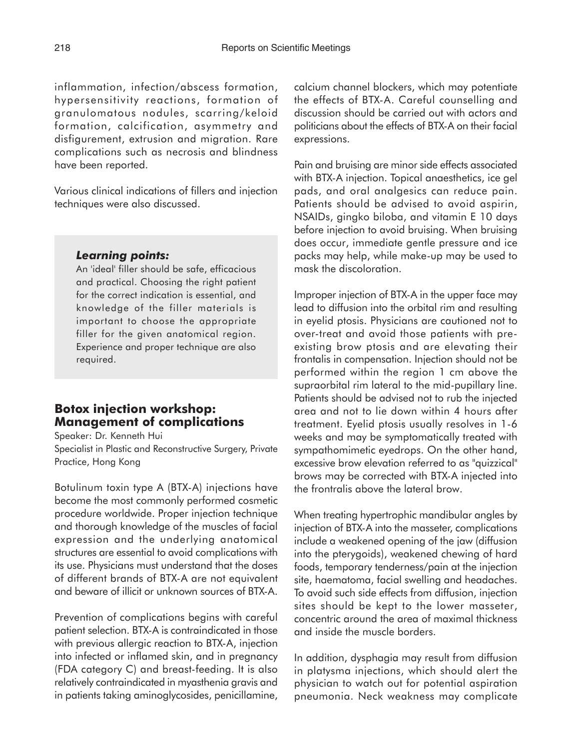inflammation, infection/abscess formation, hypersensitivity reactions, formation of granulomatous nodules, scarring/keloid formation, calcification, asymmetry and disfigurement, extrusion and migration. Rare complications such as necrosis and blindness have been reported.

Various clinical indications of fillers and injection techniques were also discussed.

### *Learning points:*

An 'ideal' filler should be safe, efficacious and practical. Choosing the right patient for the correct indication is essential, and knowledge of the filler materials is important to choose the appropriate filler for the given anatomical region. Experience and proper technique are also required.

# **Botox injection workshop: Management of complications**

Speaker: Dr. Kenneth Hui Specialist in Plastic and Reconstructive Surgery, Private Practice, Hong Kong

Botulinum toxin type A (BTX-A) injections have become the most commonly performed cosmetic procedure worldwide. Proper injection technique and thorough knowledge of the muscles of facial expression and the underlying anatomical structures are essential to avoid complications with its use. Physicians must understand that the doses of different brands of BTX-A are not equivalent and beware of illicit or unknown sources of BTX-A.

Prevention of complications begins with careful patient selection. BTX-A is contraindicated in those with previous allergic reaction to BTX-A, injection into infected or inflamed skin, and in pregnancy (FDA category C) and breast-feeding. It is also relatively contraindicated in myasthenia gravis and in patients taking aminoglycosides, penicillamine,

calcium channel blockers, which may potentiate the effects of BTX-A. Careful counselling and discussion should be carried out with actors and politicians about the effects of BTX-A on their facial expressions.

Pain and bruising are minor side effects associated with BTX-A injection. Topical anaesthetics, ice gel pads, and oral analgesics can reduce pain. Patients should be advised to avoid aspirin, NSAIDs, gingko biloba, and vitamin E 10 days before injection to avoid bruising. When bruising does occur, immediate gentle pressure and ice packs may help, while make-up may be used to mask the discoloration.

Improper injection of BTX-A in the upper face may lead to diffusion into the orbital rim and resulting in eyelid ptosis. Physicians are cautioned not to over-treat and avoid those patients with preexisting brow ptosis and are elevating their frontalis in compensation. Injection should not be performed within the region 1 cm above the supraorbital rim lateral to the mid-pupillary line. Patients should be advised not to rub the injected area and not to lie down within 4 hours after treatment. Eyelid ptosis usually resolves in 1-6 weeks and may be symptomatically treated with sympathomimetic eyedrops. On the other hand, excessive brow elevation referred to as "quizzical" brows may be corrected with BTX-A injected into the frontralis above the lateral brow.

When treating hypertrophic mandibular angles by injection of BTX-A into the masseter, complications include a weakened opening of the jaw (diffusion into the pterygoids), weakened chewing of hard foods, temporary tenderness/pain at the injection site, haematoma, facial swelling and headaches. To avoid such side effects from diffusion, injection sites should be kept to the lower masseter, concentric around the area of maximal thickness and inside the muscle borders.

In addition, dysphagia may result from diffusion in platysma injections, which should alert the physician to watch out for potential aspiration pneumonia. Neck weakness may complicate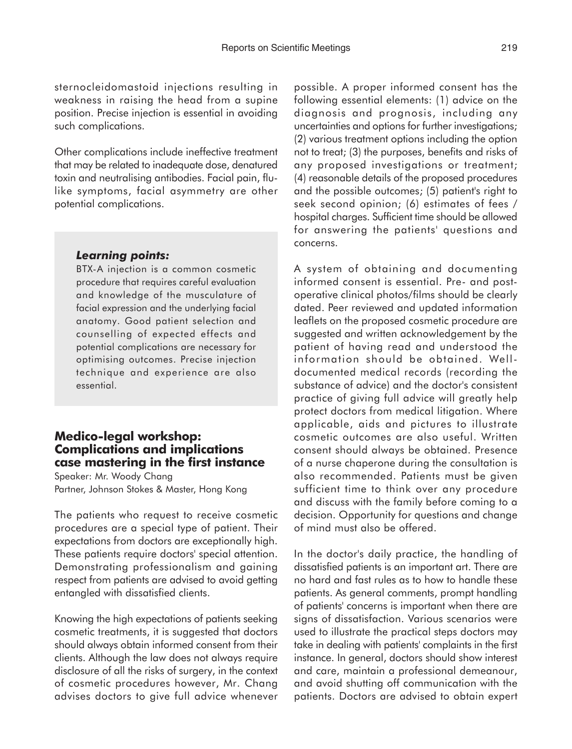sternocleidomastoid injections resulting in weakness in raising the head from a supine position. Precise injection is essential in avoiding such complications.

Other complications include ineffective treatment that may be related to inadequate dose, denatured toxin and neutralising antibodies. Facial pain, flulike symptoms, facial asymmetry are other potential complications.

#### *Learning points:*

BTX-A injection is a common cosmetic procedure that requires careful evaluation and knowledge of the musculature of facial expression and the underlying facial anatomy. Good patient selection and counselling of expected effects and potential complications are necessary for optimising outcomes. Precise injection technique and experience are also essential.

## **Medico-legal workshop: Complications and implications case mastering in the first instance**

Speaker: Mr. Woody Chang Partner, Johnson Stokes & Master, Hong Kong

The patients who request to receive cosmetic procedures are a special type of patient. Their expectations from doctors are exceptionally high. These patients require doctors' special attention. Demonstrating professionalism and gaining respect from patients are advised to avoid getting entangled with dissatisfied clients.

Knowing the high expectations of patients seeking cosmetic treatments, it is suggested that doctors should always obtain informed consent from their clients. Although the law does not always require disclosure of all the risks of surgery, in the context of cosmetic procedures however, Mr. Chang advises doctors to give full advice whenever possible. A proper informed consent has the following essential elements: (1) advice on the diagnosis and prognosis, including any uncertainties and options for further investigations; (2) various treatment options including the option not to treat; (3) the purposes, benefits and risks of any proposed investigations or treatment; (4) reasonable details of the proposed procedures and the possible outcomes; (5) patient's right to seek second opinion; (6) estimates of fees / hospital charges. Sufficient time should be allowed for answering the patients' questions and concerns.

A system of obtaining and documenting informed consent is essential. Pre- and postoperative clinical photos/films should be clearly dated. Peer reviewed and updated information leaflets on the proposed cosmetic procedure are suggested and written acknowledgement by the patient of having read and understood the information should be obtained. Welldocumented medical records (recording the substance of advice) and the doctor's consistent practice of giving full advice will greatly help protect doctors from medical litigation. Where applicable, aids and pictures to illustrate cosmetic outcomes are also useful. Written consent should always be obtained. Presence of a nurse chaperone during the consultation is also recommended. Patients must be given sufficient time to think over any procedure and discuss with the family before coming to a decision. Opportunity for questions and change of mind must also be offered.

In the doctor's daily practice, the handling of dissatisfied patients is an important art. There are no hard and fast rules as to how to handle these patients. As general comments, prompt handling of patients' concerns is important when there are signs of dissatisfaction. Various scenarios were used to illustrate the practical steps doctors may take in dealing with patients' complaints in the first instance. In general, doctors should show interest and care, maintain a professional demeanour, and avoid shutting off communication with the patients. Doctors are advised to obtain expert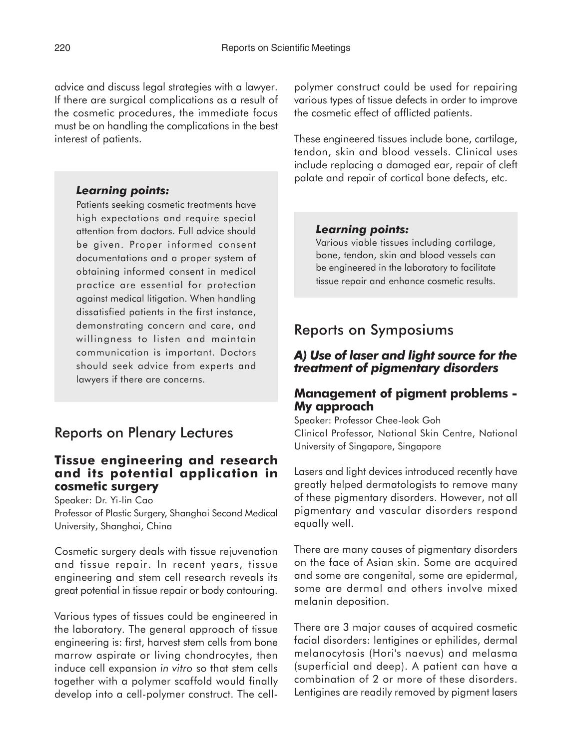advice and discuss legal strategies with a lawyer. If there are surgical complications as a result of the cosmetic procedures, the immediate focus must be on handling the complications in the best interest of patients.

#### *Learning points:*

Patients seeking cosmetic treatments have high expectations and require special attention from doctors. Full advice should be given. Proper informed consent documentations and a proper system of obtaining informed consent in medical practice are essential for protection against medical litigation. When handling dissatisfied patients in the first instance, demonstrating concern and care, and willingness to listen and maintain communication is important. Doctors should seek advice from experts and lawyers if there are concerns.

# Reports on Plenary Lectures

## **Tissue engineering and research and its potential application in cosmetic surgery**

Speaker: Dr. Yi-lin Cao

Professor of Plastic Surgery, Shanghai Second Medical University, Shanghai, China

Cosmetic surgery deals with tissue rejuvenation and tissue repair. In recent years, tissue engineering and stem cell research reveals its great potential in tissue repair or body contouring.

Various types of tissues could be engineered in the laboratory. The general approach of tissue engineering is: first, harvest stem cells from bone marrow aspirate or living chondrocytes, then induce cell expansion *in vitro* so that stem cells together with a polymer scaffold would finally develop into a cell-polymer construct. The cellpolymer construct could be used for repairing various types of tissue defects in order to improve the cosmetic effect of afflicted patients.

These engineered tissues include bone, cartilage, tendon, skin and blood vessels. Clinical uses include replacing a damaged ear, repair of cleft palate and repair of cortical bone defects, etc.

#### *Learning points:*

Various viable tissues including cartilage, bone, tendon, skin and blood vessels can be engineered in the laboratory to facilitate tissue repair and enhance cosmetic results.

# Reports on Symposiums

## *A) Use of laser and light source for the treatment of pigmentary disorders*

# **Management of pigment problems - My approach**

Speaker: Professor Chee-leok Goh Clinical Professor, National Skin Centre, National University of Singapore, Singapore

Lasers and light devices introduced recently have greatly helped dermatologists to remove many of these pigmentary disorders. However, not all pigmentary and vascular disorders respond equally well.

There are many causes of pigmentary disorders on the face of Asian skin. Some are acquired and some are congenital, some are epidermal, some are dermal and others involve mixed melanin deposition.

There are 3 major causes of acquired cosmetic facial disorders: lentigines or ephilides, dermal melanocytosis (Hori's naevus) and melasma (superficial and deep). A patient can have a combination of 2 or more of these disorders. Lentigines are readily removed by pigment lasers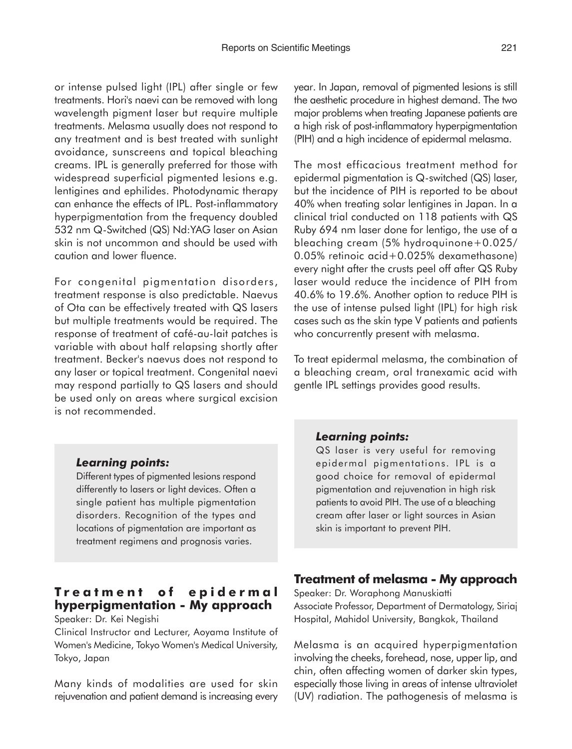or intense pulsed light (IPL) after single or few treatments. Hori's naevi can be removed with long wavelength pigment laser but require multiple treatments. Melasma usually does not respond to any treatment and is best treated with sunlight avoidance, sunscreens and topical bleaching creams. IPL is generally preferred for those with widespread superficial pigmented lesions e.g. lentigines and ephilides. Photodynamic therapy can enhance the effects of IPL. Post-inflammatory hyperpigmentation from the frequency doubled 532 nm Q-Switched (QS) Nd:YAG laser on Asian skin is not uncommon and should be used with caution and lower fluence.

For congenital pigmentation disorders, treatment response is also predictable. Naevus of Ota can be effectively treated with QS lasers but multiple treatments would be required. The response of treatment of café-au-lait patches is variable with about half relapsing shortly after treatment. Becker's naevus does not respond to any laser or topical treatment. Congenital naevi may respond partially to QS lasers and should be used only on areas where surgical excision is not recommended.

#### *Learning points:*

Different types of pigmented lesions respond differently to lasers or light devices. Often a single patient has multiple pigmentation disorders. Recognition of the types and locations of pigmentation are important as treatment regimens and prognosis varies.

# **Treatment of epidermal hyperpigmentation - My approach**

Speaker: Dr. Kei Negishi

Clinical Instructor and Lecturer, Aoyama Institute of Women's Medicine, Tokyo Women's Medical University, Tokyo, Japan

Many kinds of modalities are used for skin rejuvenation and patient demand is increasing every year. In Japan, removal of pigmented lesions is still the aesthetic procedure in highest demand. The two major problems when treating Japanese patients are a high risk of post-inflammatory hyperpigmentation (PIH) and a high incidence of epidermal melasma.

The most efficacious treatment method for epidermal pigmentation is Q-switched (QS) laser, but the incidence of PIH is reported to be about 40% when treating solar lentigines in Japan. In a clinical trial conducted on 118 patients with QS Ruby 694 nm laser done for lentigo, the use of a bleaching cream (5% hydroquinone+0.025/ 0.05% retinoic acid+0.025% dexamethasone) every night after the crusts peel off after QS Ruby laser would reduce the incidence of PIH from 40.6% to 19.6%. Another option to reduce PIH is the use of intense pulsed light (IPL) for high risk cases such as the skin type V patients and patients who concurrently present with melasma.

To treat epidermal melasma, the combination of a bleaching cream, oral tranexamic acid with gentle IPL settings provides good results.

#### *Learning points:*

QS laser is very useful for removing epidermal pigmentations. IPL is a good choice for removal of epidermal pigmentation and rejuvenation in high risk patients to avoid PIH. The use of a bleaching cream after laser or light sources in Asian skin is important to prevent PIH.

#### **Treatment of melasma - My approach**

Speaker: Dr. Woraphong Manuskiatti Associate Professor, Department of Dermatology, Siriaj Hospital, Mahidol University, Bangkok, Thailand

Melasma is an acquired hyperpigmentation involving the cheeks, forehead, nose, upper lip, and chin, often affecting women of darker skin types, especially those living in areas of intense ultraviolet (UV) radiation. The pathogenesis of melasma is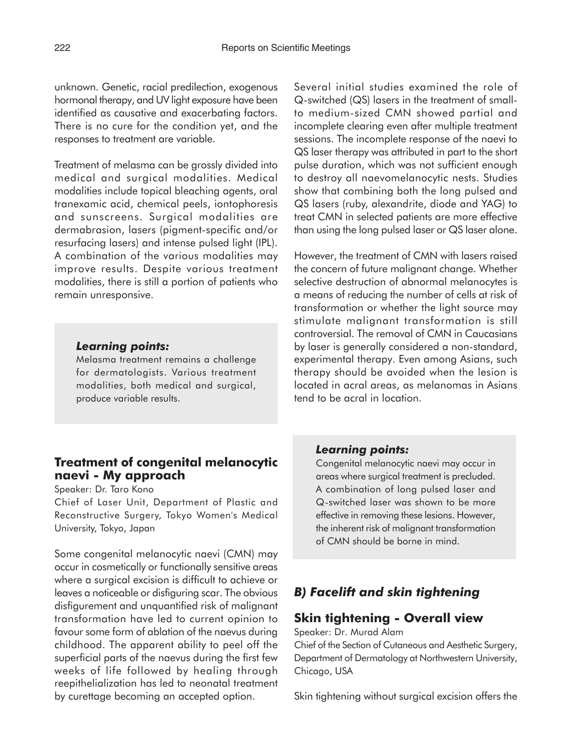unknown. Genetic, racial predilection, exogenous hormonal therapy, and UV light exposure have been identified as causative and exacerbating factors. There is no cure for the condition yet, and the responses to treatment are variable.

Treatment of melasma can be grossly divided into medical and surgical modalities. Medical modalities include topical bleaching agents, oral tranexamic acid, chemical peels, iontophoresis and sunscreens. Surgical modalities are dermabrasion, lasers (pigment-specific and/or resurfacing lasers) and intense pulsed light (IPL). A combination of the various modalities may improve results. Despite various treatment modalities, there is still a portion of patients who remain unresponsive.

#### *Learning points:*

Melasma treatment remains a challenge for dermatologists. Various treatment modalities, both medical and surgical, produce variable results.

# **Treatment of congenital melanocytic naevi - My approach**

Speaker: Dr. Taro Kono

Chief of Laser Unit, Department of Plastic and Reconstructive Surgery, Tokyo Women's Medical University, Tokyo, Japan

Some congenital melanocytic naevi (CMN) may occur in cosmetically or functionally sensitive areas where a surgical excision is difficult to achieve or leaves a noticeable or disfiguring scar. The obvious disfigurement and unquantified risk of malignant transformation have led to current opinion to favour some form of ablation of the naevus during childhood. The apparent ability to peel off the superficial parts of the naevus during the first few weeks of life followed by healing through reepithelialization has led to neonatal treatment by curettage becoming an accepted option.

Several initial studies examined the role of Q-switched (QS) lasers in the treatment of smallto medium-sized CMN showed partial and incomplete clearing even after multiple treatment sessions. The incomplete response of the naevi to QS laser therapy was attributed in part to the short pulse duration, which was not sufficient enough to destroy all naevomelanocytic nests. Studies show that combining both the long pulsed and QS lasers (ruby, alexandrite, diode and YAG) to treat CMN in selected patients are more effective than using the long pulsed laser or QS laser alone.

However, the treatment of CMN with lasers raised the concern of future malignant change. Whether selective destruction of abnormal melanocytes is a means of reducing the number of cells at risk of transformation or whether the light source may stimulate malignant transformation is still controversial. The removal of CMN in Caucasians by laser is generally considered a non-standard, experimental therapy. Even among Asians, such therapy should be avoided when the lesion is located in acral areas, as melanomas in Asians tend to be acral in location.

#### *Learning points:*

Congenital melanocytic naevi may occur in areas where surgical treatment is precluded. A combination of long pulsed laser and Q-switched laser was shown to be more effective in removing these lesions. However, the inherent risk of malignant transformation of CMN should be borne in mind.

# *B) Facelift and skin tightening*

# **Skin tightening - Overall view**

Speaker: Dr. Murad Alam

Chief of the Section of Cutaneous and Aesthetic Surgery, Department of Dermatology at Northwestern University, Chicago, USA

Skin tightening without surgical excision offers the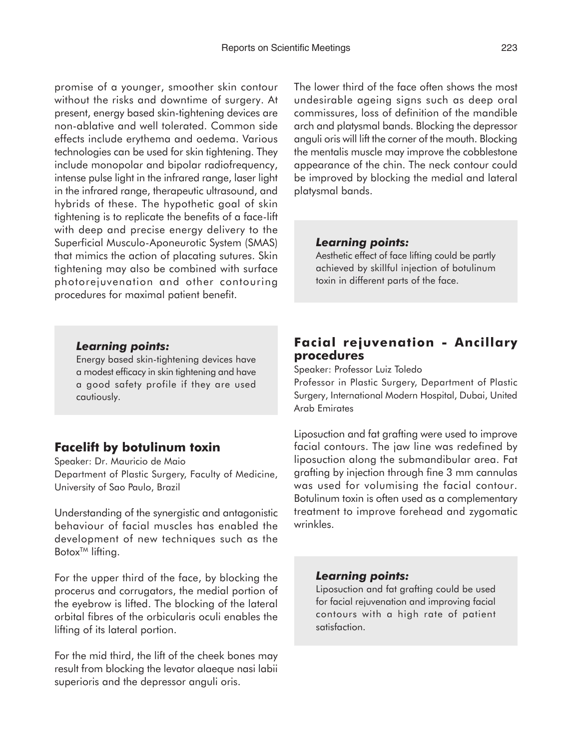promise of a younger, smoother skin contour without the risks and downtime of surgery. At present, energy based skin-tightening devices are non-ablative and well tolerated. Common side effects include erythema and oedema. Various technologies can be used for skin tightening. They include monopolar and bipolar radiofrequency, intense pulse light in the infrared range, laser light in the infrared range, therapeutic ultrasound, and hybrids of these. The hypothetic goal of skin tightening is to replicate the benefits of a face-lift with deep and precise energy delivery to the Superficial Musculo-Aponeurotic System (SMAS) that mimics the action of placating sutures. Skin tightening may also be combined with surface photorejuvenation and other contouring procedures for maximal patient benefit.

### *Learning points:*

Energy based skin-tightening devices have a modest efficacy in skin tightening and have a good safety profile if they are used cautiously.

# **Facelift by botulinum toxin**

Speaker: Dr. Mauricio de Maio Department of Plastic Surgery, Faculty of Medicine, University of Sao Paulo, Brazil

Understanding of the synergistic and antagonistic behaviour of facial muscles has enabled the development of new techniques such as the Botox<sup>™</sup> lifting.

For the upper third of the face, by blocking the procerus and corrugators, the medial portion of the eyebrow is lifted. The blocking of the lateral orbital fibres of the orbicularis oculi enables the lifting of its lateral portion.

For the mid third, the lift of the cheek bones may result from blocking the levator alaeque nasi labii superioris and the depressor anguli oris.

The lower third of the face often shows the most undesirable ageing signs such as deep oral commissures, loss of definition of the mandible arch and platysmal bands. Blocking the depressor anguli oris will lift the corner of the mouth. Blocking the mentalis muscle may improve the cobblestone appearance of the chin. The neck contour could be improved by blocking the medial and lateral platysmal bands.

#### *Learning points:*

Aesthetic effect of face lifting could be partly achieved by skillful injection of botulinum toxin in different parts of the face.

# **Facial rejuvenation - Ancillary procedures**

Speaker: Professor Luiz Toledo

Professor in Plastic Surgery, Department of Plastic Surgery, International Modern Hospital, Dubai, United Arab Emirates

Liposuction and fat grafting were used to improve facial contours. The jaw line was redefined by liposuction along the submandibular area. Fat grafting by injection through fine 3 mm cannulas was used for volumising the facial contour. Botulinum toxin is often used as a complementary treatment to improve forehead and zygomatic wrinkles.

### *Learning points:*

Liposuction and fat grafting could be used for facial rejuvenation and improving facial contours with a high rate of patient satisfaction.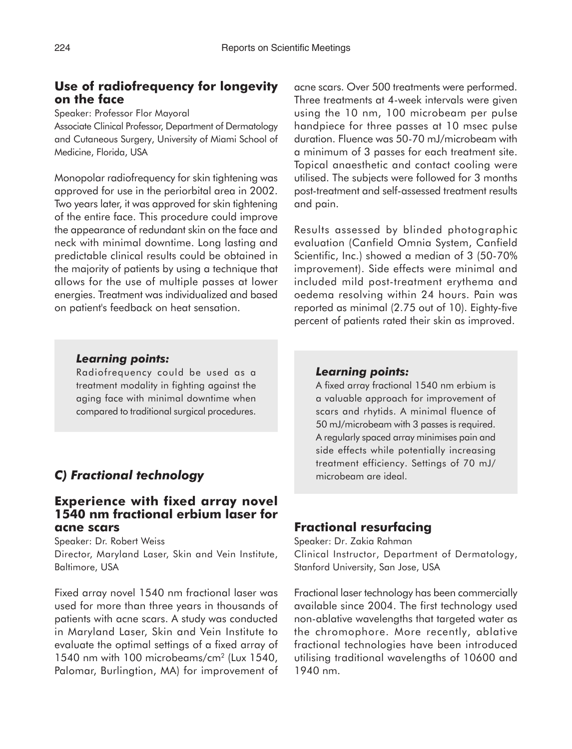# **Use of radiofrequency for longevity on the face**

Speaker: Professor Flor Mayoral

Associate Clinical Professor, Department of Dermatology and Cutaneous Surgery, University of Miami School of Medicine, Florida, USA

Monopolar radiofrequency for skin tightening was approved for use in the periorbital area in 2002. Two years later, it was approved for skin tightening of the entire face. This procedure could improve the appearance of redundant skin on the face and neck with minimal downtime. Long lasting and predictable clinical results could be obtained in the majority of patients by using a technique that allows for the use of multiple passes at lower energies. Treatment was individualized and based on patient's feedback on heat sensation.

acne scars. Over 500 treatments were performed. Three treatments at 4-week intervals were given using the 10 nm, 100 microbeam per pulse handpiece for three passes at 10 msec pulse duration. Fluence was 50-70 mJ/microbeam with a minimum of 3 passes for each treatment site. Topical anaesthetic and contact cooling were utilised. The subjects were followed for 3 months post-treatment and self-assessed treatment results and pain.

Results assessed by blinded photographic evaluation (Canfield Omnia System, Canfield Scientific, Inc.) showed a median of 3 (50-70% improvement). Side effects were minimal and included mild post-treatment erythema and oedema resolving within 24 hours. Pain was reported as minimal (2.75 out of 10). Eighty-five percent of patients rated their skin as improved.

#### *Learning points:*

Radiofrequency could be used as a treatment modality in fighting against the aging face with minimal downtime when compared to traditional surgical procedures.

# *C) Fractional technology*

## **Experience with fixed array novel 1540 nm fractional erbium laser for acne scars**

Speaker: Dr. Robert Weiss

Director, Maryland Laser, Skin and Vein Institute, Baltimore, USA

Fixed array novel 1540 nm fractional laser was used for more than three years in thousands of patients with acne scars. A study was conducted in Maryland Laser, Skin and Vein Institute to evaluate the optimal settings of a fixed array of 1540 nm with 100 microbeams/cm<sup>2</sup> (Lux 1540, Palomar, Burlingtion, MA) for improvement of

#### *Learning points:*

A fixed array fractional 1540 nm erbium is a valuable approach for improvement of scars and rhytids. A minimal fluence of 50 mJ/microbeam with 3 passes is required. A regularly spaced array minimises pain and side effects while potentially increasing treatment efficiency. Settings of 70 mJ/ microbeam are ideal.

## **Fractional resurfacing**

Speaker: Dr. Zakia Rahman Clinical Instructor, Department of Dermatology, Stanford University, San Jose, USA

Fractional laser technology has been commercially available since 2004. The first technology used non-ablative wavelengths that targeted water as the chromophore. More recently, ablative fractional technologies have been introduced utilising traditional wavelengths of 10600 and 1940 nm.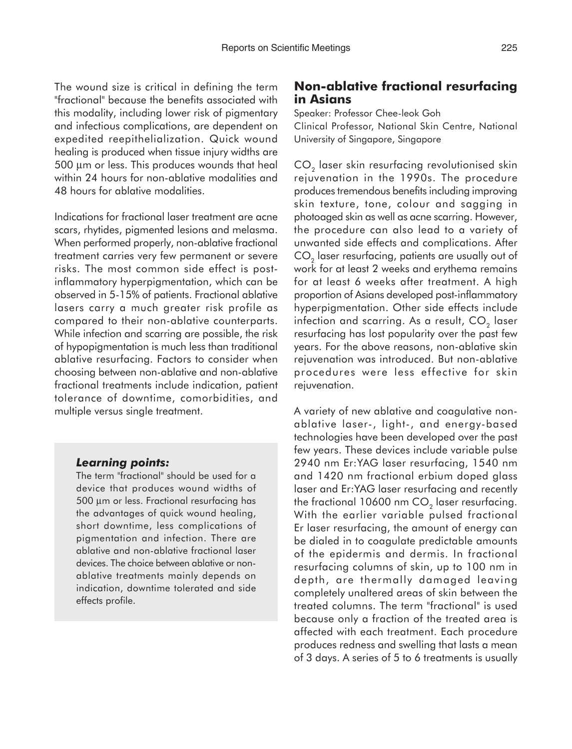The wound size is critical in defining the term "fractional" because the benefits associated with this modality, including lower risk of pigmentary and infectious complications, are dependent on expedited reepithelialization. Quick wound healing is produced when tissue injury widths are 500 µm or less. This produces wounds that heal within 24 hours for non-ablative modalities and 48 hours for ablative modalities.

Indications for fractional laser treatment are acne scars, rhytides, pigmented lesions and melasma. When performed properly, non-ablative fractional treatment carries very few permanent or severe risks. The most common side effect is postinflammatory hyperpigmentation, which can be observed in 5-15% of patients. Fractional ablative lasers carry a much greater risk profile as compared to their non-ablative counterparts. While infection and scarring are possible, the risk of hypopigmentation is much less than traditional ablative resurfacing. Factors to consider when choosing between non-ablative and non-ablative fractional treatments include indication, patient tolerance of downtime, comorbidities, and multiple versus single treatment.

#### *Learning points:*

The term "fractional" should be used for a device that produces wound widths of 500 µm or less. Fractional resurfacing has the advantages of quick wound healing, short downtime, less complications of pigmentation and infection. There are ablative and non-ablative fractional laser devices. The choice between ablative or nonablative treatments mainly depends on indication, downtime tolerated and side effects profile.

# **Non-ablative fractional resurfacing in Asians**

Speaker: Professor Chee-leok Goh

Clinical Professor, National Skin Centre, National University of Singapore, Singapore

CO<sub>2</sub> laser skin resurfacing revolutionised skin rejuvenation in the 1990s. The procedure produces tremendous benefits including improving skin texture, tone, colour and sagging in photoaged skin as well as acne scarring. However, the procedure can also lead to a variety of unwanted side effects and complications. After  $CO<sub>2</sub>$  laser resurfacing, patients are usually out of work for at least 2 weeks and erythema remains for at least 6 weeks after treatment. A high proportion of Asians developed post-inflammatory hyperpigmentation. Other side effects include infection and scarring. As a result,  $CO<sub>2</sub>$  laser resurfacing has lost popularity over the past few years. For the above reasons, non-ablative skin rejuvenation was introduced. But non-ablative procedures were less effective for skin rejuvenation.

A variety of new ablative and coagulative nonablative laser-, light-, and energy-based technologies have been developed over the past few years. These devices include variable pulse 2940 nm Er:YAG laser resurfacing, 1540 nm and 1420 nm fractional erbium doped glass laser and Er:YAG laser resurfacing and recently the fractional 10600 nm  $CO<sub>2</sub>$  laser resurfacing. With the earlier variable pulsed fractional Er laser resurfacing, the amount of energy can be dialed in to coagulate predictable amounts of the epidermis and dermis. In fractional resurfacing columns of skin, up to 100 nm in depth, are thermally damaged leaving completely unaltered areas of skin between the treated columns. The term "fractional" is used because only a fraction of the treated area is affected with each treatment. Each procedure produces redness and swelling that lasts a mean of 3 days. A series of 5 to 6 treatments is usually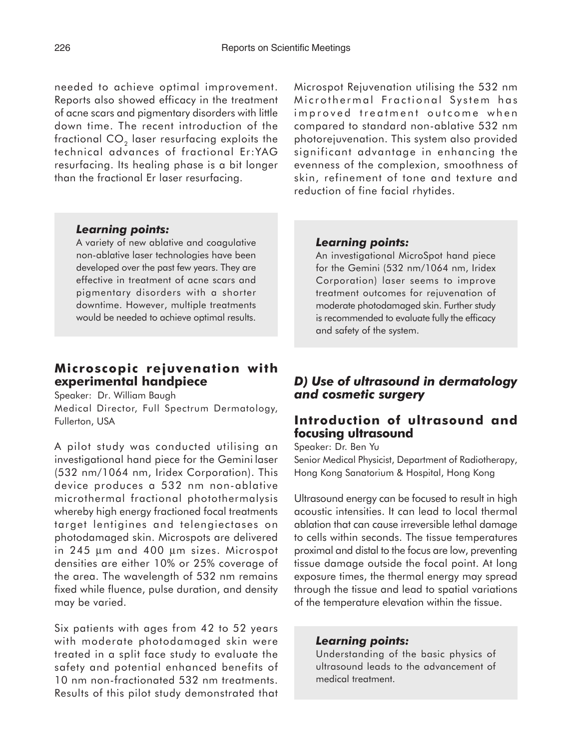needed to achieve optimal improvement. Reports also showed efficacy in the treatment of acne scars and pigmentary disorders with little down time. The recent introduction of the fractional  $CO<sub>2</sub>$  laser resurfacing exploits the technical advances of fractional Er:YAG resurfacing. Its healing phase is a bit longer than the fractional Er laser resurfacing.

Microspot Rejuvenation utilising the 532 nm Microthermal Fractional System has improved treatment outcome when compared to standard non-ablative 532 nm photorejuvenation. This system also provided significant advantage in enhancing the evenness of the complexion, smoothness of skin, refinement of tone and texture and reduction of fine facial rhytides.

### *Learning points:*

A variety of new ablative and coagulative non-ablative laser technologies have been developed over the past few years. They are effective in treatment of acne scars and pigmentary disorders with a shorter downtime. However, multiple treatments would be needed to achieve optimal results.

# **Microscopic rejuvenation with experimental handpiece**

Speaker: Dr. William Baugh Medical Director, Full Spectrum Dermatology, Fullerton, USA

A pilot study was conducted utilising an investigational hand piece for the Gemini laser (532 nm/1064 nm, Iridex Corporation). This device produces a 532 nm non-ablative microthermal fractional photothermalysis whereby high energy fractioned focal treatments target lentigines and telengiectases on photodamaged skin. Microspots are delivered in 245 µm and 400 µm sizes. Microspot densities are either 10% or 25% coverage of the area. The wavelength of 532 nm remains fixed while fluence, pulse duration, and density may be varied.

Six patients with ages from 42 to 52 years with moderate photodamaged skin were treated in a split face study to evaluate the safety and potential enhanced benefits of 10 nm non-fractionated 532 nm treatments. Results of this pilot study demonstrated that

#### *Learning points:*

An investigational MicroSpot hand piece for the Gemini (532 nm/1064 nm, Iridex Corporation) laser seems to improve treatment outcomes for rejuvenation of moderate photodamaged skin. Further study is recommended to evaluate fully the efficacy and safety of the system.

# *D) Use of ultrasound in dermatology and cosmetic surgery*

# **Introduction of ultrasound and focusing ultrasound**

Speaker: Dr. Ben Yu Senior Medical Physicist, Department of Radiotherapy, Hong Kong Sanatorium & Hospital, Hong Kong

Ultrasound energy can be focused to result in high acoustic intensities. It can lead to local thermal ablation that can cause irreversible lethal damage to cells within seconds. The tissue temperatures proximal and distal to the focus are low, preventing tissue damage outside the focal point. At long exposure times, the thermal energy may spread through the tissue and lead to spatial variations of the temperature elevation within the tissue.

#### *Learning points:*

Understanding of the basic physics of ultrasound leads to the advancement of medical treatment.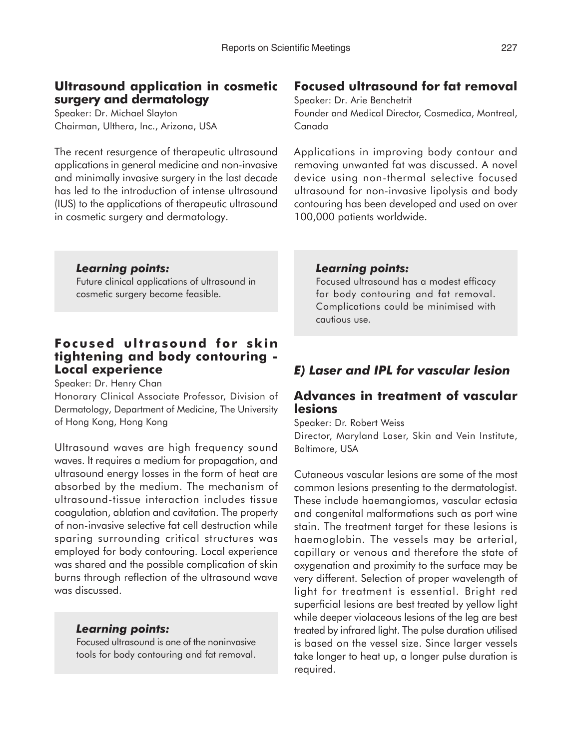# **Ultrasound application in cosmetic surgery and dermatology**

Speaker: Dr. Michael Slayton Chairman, Ulthera, Inc., Arizona, USA

The recent resurgence of therapeutic ultrasound applications in general medicine and non-invasive and minimally invasive surgery in the last decade has led to the introduction of intense ultrasound (IUS) to the applications of therapeutic ultrasound in cosmetic surgery and dermatology.

## *Learning points:*

Future clinical applications of ultrasound in cosmetic surgery become feasible.

## **Focused ultrasound for skin tightening and body contouring - Local experience**

Speaker: Dr. Henry Chan

Honorary Clinical Associate Professor, Division of Dermatology, Department of Medicine, The University of Hong Kong, Hong Kong

Ultrasound waves are high frequency sound waves. It requires a medium for propagation, and ultrasound energy losses in the form of heat are absorbed by the medium. The mechanism of ultrasound-tissue interaction includes tissue coagulation, ablation and cavitation. The property of non-invasive selective fat cell destruction while sparing surrounding critical structures was employed for body contouring. Local experience was shared and the possible complication of skin burns through reflection of the ultrasound wave was discussed.

### *Learning points:*

Focused ultrasound is one of the noninvasive tools for body contouring and fat removal.

# **Focused ultrasound for fat removal**

Speaker: Dr. Arie Benchetrit Founder and Medical Director, Cosmedica, Montreal, Canada

Applications in improving body contour and removing unwanted fat was discussed. A novel device using non-thermal selective focused ultrasound for non-invasive lipolysis and body contouring has been developed and used on over 100,000 patients worldwide.

### *Learning points:*

Focused ultrasound has a modest efficacy for body contouring and fat removal. Complications could be minimised with cautious use.

# *E) Laser and IPL for vascular lesion*

# **Advances in treatment of vascular lesions**

Speaker: Dr. Robert Weiss

Director, Maryland Laser, Skin and Vein Institute, Baltimore, USA

Cutaneous vascular lesions are some of the most common lesions presenting to the dermatologist. These include haemangiomas, vascular ectasia and congenital malformations such as port wine stain. The treatment target for these lesions is haemoglobin. The vessels may be arterial, capillary or venous and therefore the state of oxygenation and proximity to the surface may be very different. Selection of proper wavelength of light for treatment is essential. Bright red superficial lesions are best treated by yellow light while deeper violaceous lesions of the leg are best treated by infrared light. The pulse duration utilised is based on the vessel size. Since larger vessels take longer to heat up, a longer pulse duration is required.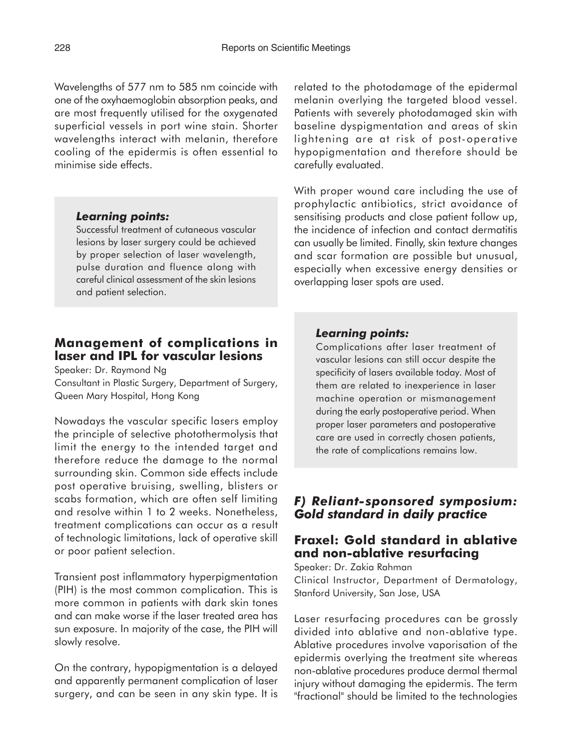Wavelengths of 577 nm to 585 nm coincide with one of the oxyhaemoglobin absorption peaks, and are most frequently utilised for the oxygenated superficial vessels in port wine stain. Shorter wavelengths interact with melanin, therefore cooling of the epidermis is often essential to minimise side effects.

#### *Learning points:*

Successful treatment of cutaneous vascular lesions by laser surgery could be achieved by proper selection of laser wavelength, pulse duration and fluence along with careful clinical assessment of the skin lesions and patient selection.

# **Management of complications in laser and IPL for vascular lesions**

Speaker: Dr. Raymond Ng

Consultant in Plastic Surgery, Department of Surgery, Queen Mary Hospital, Hong Kong

Nowadays the vascular specific lasers employ the principle of selective photothermolysis that limit the energy to the intended target and therefore reduce the damage to the normal surrounding skin. Common side effects include post operative bruising, swelling, blisters or scabs formation, which are often self limiting and resolve within 1 to 2 weeks. Nonetheless, treatment complications can occur as a result of technologic limitations, lack of operative skill or poor patient selection.

Transient post inflammatory hyperpigmentation (PIH) is the most common complication. This is more common in patients with dark skin tones and can make worse if the laser treated area has sun exposure. In majority of the case, the PIH will slowly resolve.

On the contrary, hypopigmentation is a delayed and apparently permanent complication of laser surgery, and can be seen in any skin type. It is related to the photodamage of the epidermal melanin overlying the targeted blood vessel. Patients with severely photodamaged skin with baseline dyspigmentation and areas of skin lightening are at risk of post-operative hypopigmentation and therefore should be carefully evaluated.

With proper wound care including the use of prophylactic antibiotics, strict avoidance of sensitising products and close patient follow up, the incidence of infection and contact dermatitis can usually be limited. Finally, skin texture changes and scar formation are possible but unusual, especially when excessive energy densities or overlapping laser spots are used.

# *Learning points:*

Complications after laser treatment of vascular lesions can still occur despite the specificity of lasers available today. Most of them are related to inexperience in laser machine operation or mismanagement during the early postoperative period. When proper laser parameters and postoperative care are used in correctly chosen patients, the rate of complications remains low.

# *F) Reliant-sponsored symposium: Gold standard in daily practice*

# **Fraxel: Gold standard in ablative and non-ablative resurfacing**

Speaker: Dr. Zakia Rahman Clinical Instructor, Department of Dermatology, Stanford University, San Jose, USA

Laser resurfacing procedures can be grossly divided into ablative and non-ablative type. Ablative procedures involve vaporisation of the epidermis overlying the treatment site whereas non-ablative procedures produce dermal thermal injury without damaging the epidermis. The term "fractional" should be limited to the technologies